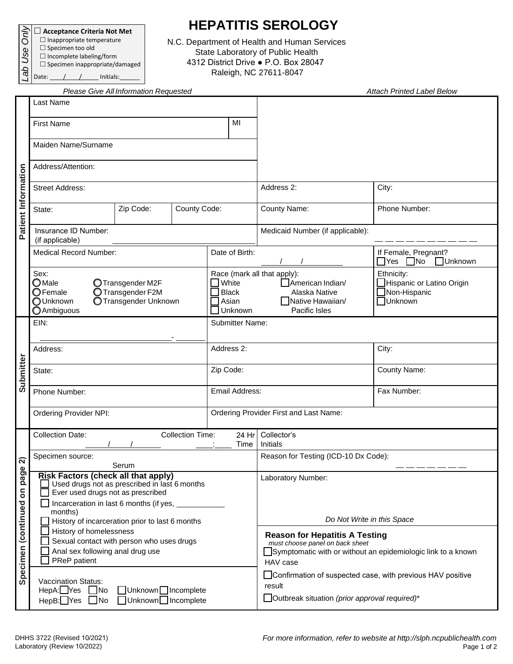**Acceptance Criteria Not Met**  $\Box$  Inappropriate temperature *Lab Use Only*

Date:  $\angle$  /  $\angle$   $\angle$  Initials:

 $\square$  Specimen too old  $\Box$  Incomplete labeling/form  $\square$  Specimen inappropriate/damaged

## **HEPATITIS SEROLOGY**

N.C. Department of Health and Human Services State Laboratory of Public Health 4312 District Drive ● P.O. Box 28047 Raleigh, NC 27611-8047

|                                  |                                                                                                                                                                                                | Please Give All Information Requested |  |            | <b>Attach Printed Label Below</b>         |                                                                                                                                               |                                                                    |  |  |
|----------------------------------|------------------------------------------------------------------------------------------------------------------------------------------------------------------------------------------------|---------------------------------------|--|------------|-------------------------------------------|-----------------------------------------------------------------------------------------------------------------------------------------------|--------------------------------------------------------------------|--|--|
| Patient Information              | Last Name                                                                                                                                                                                      |                                       |  |            |                                           |                                                                                                                                               |                                                                    |  |  |
|                                  | <b>First Name</b>                                                                                                                                                                              |                                       |  | MI         |                                           |                                                                                                                                               |                                                                    |  |  |
|                                  | Maiden Name/Surname                                                                                                                                                                            |                                       |  |            |                                           |                                                                                                                                               |                                                                    |  |  |
|                                  | Address/Attention:                                                                                                                                                                             |                                       |  |            |                                           |                                                                                                                                               |                                                                    |  |  |
|                                  | <b>Street Address:</b>                                                                                                                                                                         |                                       |  |            |                                           | Address 2:                                                                                                                                    | City:                                                              |  |  |
|                                  | County Code:<br>Zip Code:<br>State:                                                                                                                                                            |                                       |  |            |                                           | County Name:                                                                                                                                  | Phone Number:                                                      |  |  |
|                                  | Insurance ID Number:<br>(if applicable)                                                                                                                                                        |                                       |  |            |                                           | Medicaid Number (if applicable):                                                                                                              |                                                                    |  |  |
|                                  | <b>Medical Record Number:</b>                                                                                                                                                                  |                                       |  |            | Date of Birth:                            |                                                                                                                                               | If Female, Pregnant?<br>$\Box$ Yes $\Box$ No<br>□Unknown           |  |  |
|                                  | Sex:<br>$\bigcirc$ Male<br>OTransgender M2F<br>$\bigcirc$ Female<br>O Transgender F2M<br>OUnknown<br>O Transgender Unknown<br><b>O</b> Ambiguous                                               |                                       |  |            | White<br><b>Black</b><br>Asian<br>Unknown | Race (mark all that apply):<br>American Indian/<br>Alaska Native<br>Native Hawaiian/<br>Pacific Isles                                         | Ethnicity:<br>Hispanic or Latino Origin<br>Non-Hispanic<br>Unknown |  |  |
| Submitter                        | EIN:                                                                                                                                                                                           |                                       |  |            | <b>Submitter Name:</b>                    |                                                                                                                                               |                                                                    |  |  |
|                                  | Address:                                                                                                                                                                                       |                                       |  | Address 2: |                                           |                                                                                                                                               | City:                                                              |  |  |
|                                  | State:                                                                                                                                                                                         |                                       |  | Zip Code:  |                                           |                                                                                                                                               | <b>County Name:</b>                                                |  |  |
|                                  | Phone Number:                                                                                                                                                                                  |                                       |  |            | Email Address:                            |                                                                                                                                               | Fax Number:                                                        |  |  |
|                                  | <b>Ordering Provider NPI:</b>                                                                                                                                                                  |                                       |  |            |                                           | Ordering Provider First and Last Name:                                                                                                        |                                                                    |  |  |
| ส<br>Specimen (continued on page | <b>Collection Time:</b><br><b>Collection Date:</b><br>24 Hr<br>Time                                                                                                                            |                                       |  |            | Collector's<br>Initials                   |                                                                                                                                               |                                                                    |  |  |
|                                  | Specimen source:<br>Serum                                                                                                                                                                      |                                       |  |            | Reason for Testing (ICD-10 Dx Code):      |                                                                                                                                               |                                                                    |  |  |
|                                  | <b>Risk Factors (check all that apply)</b><br>□ Used drugs not as prescribed in last 6 months<br>Ever used drugs not as prescribed<br>Incarceration in last 6 months (if yes, _____<br>months) |                                       |  |            |                                           | Laboratory Number:                                                                                                                            |                                                                    |  |  |
|                                  | History of incarceration prior to last 6 months                                                                                                                                                |                                       |  |            |                                           | Do Not Write in this Space                                                                                                                    |                                                                    |  |  |
|                                  | History of homelessness<br>Sexual contact with person who uses drugs<br>Anal sex following anal drug use<br>PReP patient                                                                       |                                       |  |            |                                           | Reason for Hepatitis A Testing<br>must choose panel on back sheet<br>Symptomatic with or without an epidemiologic link to a known<br>HAV case |                                                                    |  |  |
|                                  | <b>Vaccination Status:</b><br>HepA:□Yes □No<br>□Unknown□Incomplete<br>□ Unknown□ Incomplete<br>HepB:□Yes □No                                                                                   |                                       |  |            |                                           | Confirmation of suspected case, with previous HAV positive<br>result<br>Outbreak situation (prior approval required)*                         |                                                                    |  |  |